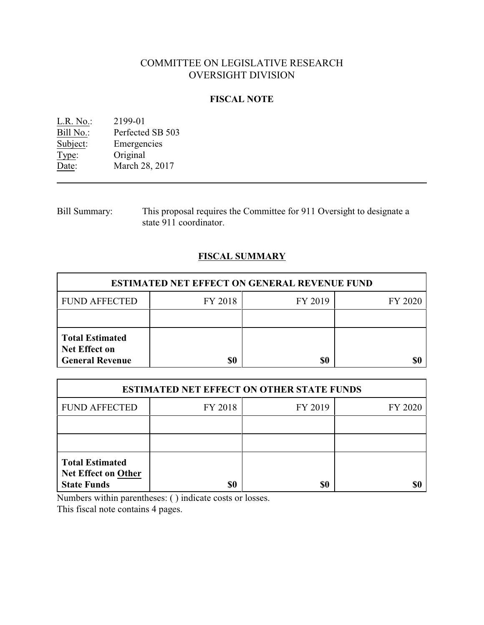# COMMITTEE ON LEGISLATIVE RESEARCH OVERSIGHT DIVISION

## **FISCAL NOTE**

<u>L.R. No.</u>: 2199-01<br>
<u>Bill No.:</u> Perfected Bill No.: Perfected SB 503<br>Subject: Emergencies Emergencies Type: Original<br>Date: March 28 March 28, 2017

Bill Summary: This proposal requires the Committee for 911 Oversight to designate a state 911 coordinator.

## **FISCAL SUMMARY**

| <b>ESTIMATED NET EFFECT ON GENERAL REVENUE FUND</b>                      |         |         |         |  |
|--------------------------------------------------------------------------|---------|---------|---------|--|
| <b>FUND AFFECTED</b>                                                     | FY 2018 | FY 2019 | FY 2020 |  |
|                                                                          |         |         |         |  |
| <b>Total Estimated</b><br><b>Net Effect on</b><br><b>General Revenue</b> | \$0     | \$0     |         |  |

| <b>ESTIMATED NET EFFECT ON OTHER STATE FUNDS</b>                           |         |         |         |  |
|----------------------------------------------------------------------------|---------|---------|---------|--|
| <b>FUND AFFECTED</b>                                                       | FY 2018 | FY 2019 | FY 2020 |  |
|                                                                            |         |         |         |  |
|                                                                            |         |         |         |  |
| <b>Total Estimated</b><br><b>Net Effect on Other</b><br><b>State Funds</b> | \$0     | \$0     |         |  |

Numbers within parentheses: ( ) indicate costs or losses.

This fiscal note contains 4 pages.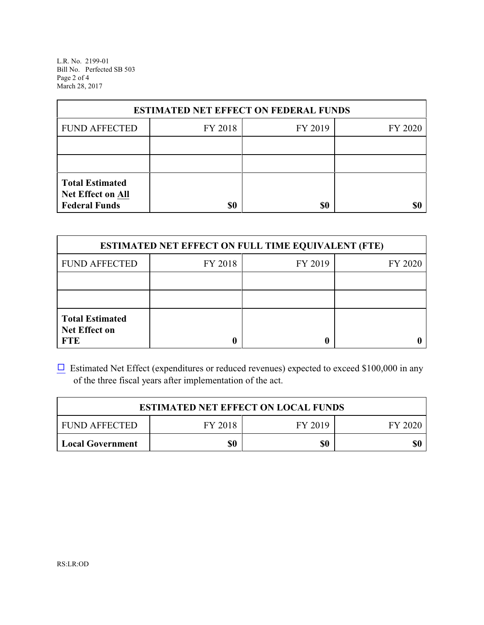L.R. No. 2199-01 Bill No. Perfected SB 503 Page 2 of 4 March 28, 2017

| <b>ESTIMATED NET EFFECT ON FEDERAL FUNDS</b>                        |         |         |         |  |
|---------------------------------------------------------------------|---------|---------|---------|--|
| <b>FUND AFFECTED</b>                                                | FY 2018 | FY 2019 | FY 2020 |  |
|                                                                     |         |         |         |  |
|                                                                     |         |         |         |  |
| <b>Total Estimated</b><br>Net Effect on All<br><b>Federal Funds</b> | \$0     | \$0     | SI)     |  |

| <b>ESTIMATED NET EFFECT ON FULL TIME EQUIVALENT (FTE)</b>    |         |         |         |  |
|--------------------------------------------------------------|---------|---------|---------|--|
| <b>FUND AFFECTED</b>                                         | FY 2018 | FY 2019 | FY 2020 |  |
|                                                              |         |         |         |  |
|                                                              |         |         |         |  |
| <b>Total Estimated</b><br><b>Net Effect on</b><br><b>FTE</b> |         |         |         |  |

 $\Box$  Estimated Net Effect (expenditures or reduced revenues) expected to exceed \$100,000 in any of the three fiscal years after implementation of the act.

| <b>ESTIMATED NET EFFECT ON LOCAL FUNDS</b> |         |         |         |  |
|--------------------------------------------|---------|---------|---------|--|
| <b>FUND AFFECTED</b>                       | FY 2018 | FY 2019 | FY 2020 |  |
| Local Government                           | \$0     | \$0     | \$0     |  |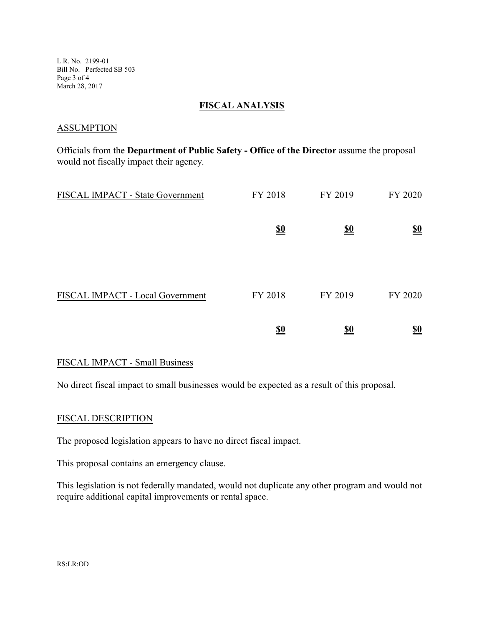L.R. No. 2199-01 Bill No. Perfected SB 503 Page 3 of 4 March 28, 2017

#### **FISCAL ANALYSIS**

#### **ASSUMPTION**

Officials from the **Department of Public Safety - Office of the Director** assume the proposal would not fiscally impact their agency.

| FISCAL IMPACT - State Government | FY 2018                       | FY 2019    | FY 2020                       |
|----------------------------------|-------------------------------|------------|-------------------------------|
|                                  | $\underline{\underline{\$0}}$ | <u>\$0</u> | $\underline{\underline{\$0}}$ |
|                                  |                               |            |                               |
| FISCAL IMPACT - Local Government | FY 2018                       | FY 2019    | FY 2020                       |
|                                  | <u>\$0</u>                    | <u>\$0</u> | <u>\$0</u>                    |

### FISCAL IMPACT - Small Business

No direct fiscal impact to small businesses would be expected as a result of this proposal.

## FISCAL DESCRIPTION

The proposed legislation appears to have no direct fiscal impact.

This proposal contains an emergency clause.

This legislation is not federally mandated, would not duplicate any other program and would not require additional capital improvements or rental space.